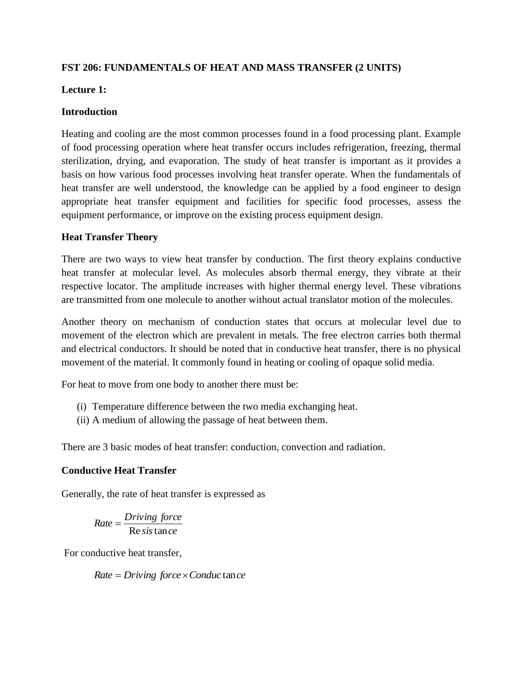# **FST 206: FUNDAMENTALS OF HEAT AND MASS TRANSFER (2 UNITS)**

## **Lecture 1:**

### **Introduction**

Heating and cooling are the most common processes found in a food processing plant. Example of food processing operation where heat transfer occurs includes refrigeration, freezing, thermal sterilization, drying, and evaporation. The study of heat transfer is important as it provides a basis on how various food processes involving heat transfer operate. When the fundamentals of heat transfer are well understood, the knowledge can be applied by a food engineer to design appropriate heat transfer equipment and facilities for specific food processes, assess the equipment performance, or improve on the existing process equipment design.

# **Heat Transfer Theory**

There are two ways to view heat transfer by conduction. The first theory explains conductive heat transfer at molecular level. As molecules absorb thermal energy, they vibrate at their respective locator. The amplitude increases with higher thermal energy level. These vibrations are transmitted from one molecule to another without actual translator motion of the molecules.

Another theory on mechanism of conduction states that occurs at molecular level due to movement of the electron which are prevalent in metals. The free electron carries both thermal and electrical conductors. It should be noted that in conductive heat transfer, there is no physical movement of the material. It commonly found in heating or cooling of opaque solid media.

For heat to move from one body to another there must be:

- (i) Temperature difference between the two media exchanging heat.
- (ii) A medium of allowing the passage of heat between them.

There are 3 basic modes of heat transfer: conduction, convection and radiation.

# **Conductive Heat Transfer**

Generally, the rate of heat transfer is expressed as

$$
Rate = \frac{Diving\ force}{\text{Re}\,sis\tan\,ce}
$$

For conductive heat transfer,

 $Rate = Diving force \times Conduct$  ance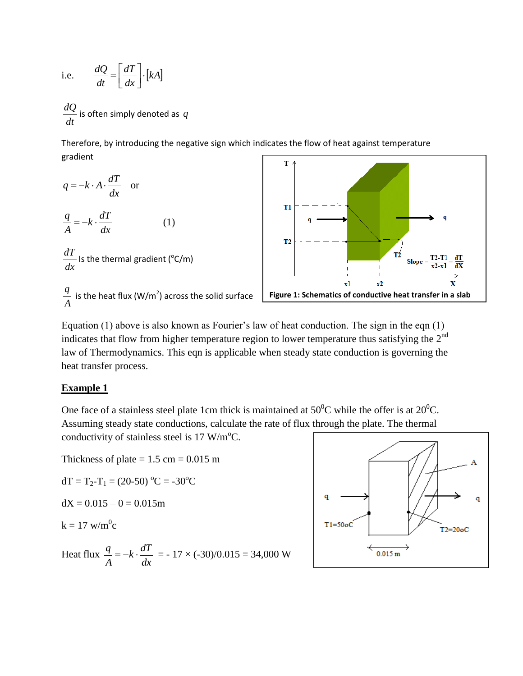i.e. 
$$
\frac{dQ}{dt} = \left[\frac{dT}{dx}\right] \cdot [kA]
$$

*dt dQ* is often simply denoted as *q*

Therefore, by introducing the negative sign which indicates the flow of heat against temperature gradient

$$
q = -k \cdot A \cdot \frac{dT}{dx} \quad \text{or}
$$
\n
$$
\frac{q}{A} = -k \cdot \frac{dT}{dx} \qquad (1)
$$
\n
$$
\frac{dT}{dx} \text{ Is the thermal gradient (°C/m)}
$$
\n
$$
\frac{q}{dx} \text{ is the heat flux (W/m2) across the solid surface}
$$



Equation (1) above is also known as Fourier's law of heat conduction. The sign in the eqn (1) indicates that flow from higher temperature region to lower temperature thus satisfying the  $2<sup>nd</sup>$ law of Thermodynamics. This eqn is applicable when steady state conduction is governing the heat transfer process.

#### **Example 1**

*A*

One face of a stainless steel plate 1cm thick is maintained at  $50^{\circ}$ C while the offer is at  $20^{\circ}$ C. Assuming steady state conductions, calculate the rate of flux through the plate. The thermal conductivity of stainless steel is  $17 \text{ W/m}^{\circ}$ C.

Thickness of plate  $= 1.5$  cm  $= 0.015$  m

$$
dT = T_2 - T_1 = (20-50) °C = -30 °C
$$

$$
dX = 0.015 - 0 = 0.015m
$$

$$
k = 17 \text{ w/m}^0\text{c}
$$

Heat flux 
$$
\frac{q}{A} = -k \cdot \frac{dT}{dx} = -17 \times (-30)/0.015 = 34,000 \text{ W}
$$

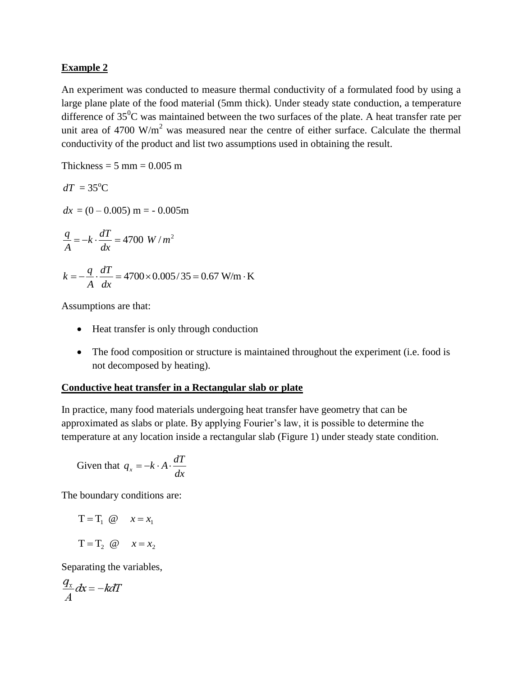#### **Example 2**

An experiment was conducted to measure thermal conductivity of a formulated food by using a large plane plate of the food material (5mm thick). Under steady state conduction, a temperature difference of  $35^0C$  was maintained between the two surfaces of the plate. A heat transfer rate per unit area of 4700  $W/m<sup>2</sup>$  was measured near the centre of either surface. Calculate the thermal conductivity of the product and list two assumptions used in obtaining the result.

Thickness =  $5 \text{ mm} = 0.005 \text{ m}$  $dT = 35^{\circ}C$  $dx = (0 - 0.005)$  m =  $- 0.005$ m 2 4700 *W* / *m dx*  $k \cdot \frac{dT}{dt}$ *A*  $\frac{q}{q} = -k \cdot \frac{dT}{q} =$  $=-\frac{q}{4}\cdot\frac{u_{1}}{4}$  = 4700 × 0.005/35 = 0.67 W/m  $\cdot$  K *dx dT A*  $k = -\frac{q}{l} \cdot \frac{dT}{l} = 4700 \times 0.005 / 35 = 0.67$  W/m·K

Assumptions are that:

- Heat transfer is only through conduction
- The food composition or structure is maintained throughout the experiment (i.e. food is not decomposed by heating).

#### **Conductive heat transfer in a Rectangular slab or plate**

In practice, many food materials undergoing heat transfer have geometry that can be approximated as slabs or plate. By applying Fourier's law, it is possible to determine the temperature at any location inside a rectangular slab (Figure 1) under steady state condition.

Given that 
$$
q_x = -k \cdot A \cdot \frac{dT}{dx}
$$

The boundary conditions are:

$$
T = T_1 \quad \textcircled{e} \qquad x = x_1
$$
\n
$$
T = T_2 \quad \textcircled{e} \qquad x = x_2
$$

Separating the variables,

$$
\frac{q_x}{A}dx = -k dT
$$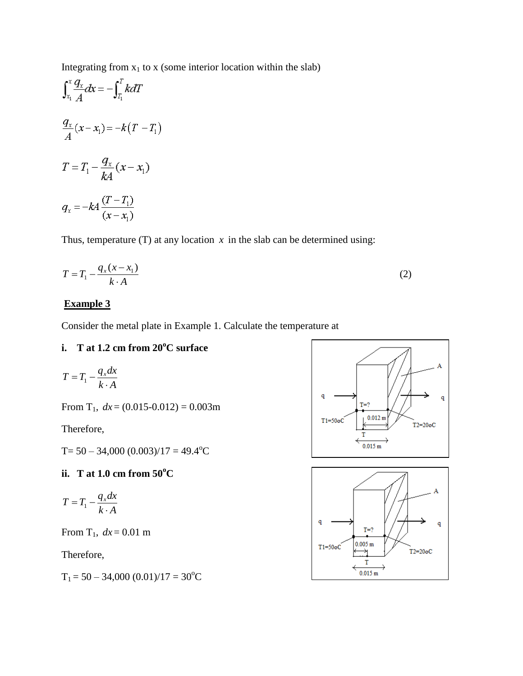Integrating from  $x_1$  to x (some interior location within the slab)

$$
\int_{x_1}^{x} \frac{q_x}{A} dx = -\int_{T_1}^{T} k dT
$$

$$
\frac{q_x}{A} (x - x_1) = -k(T - T_1)
$$

$$
T = T_1 - \frac{q_x}{kA} (x - x_1)
$$

$$
q_x = -kA \frac{(T - T_1)}{(x - x_1)}
$$

Thus, temperature  $(T)$  at any location  $x$  in the slab can be determined using:

$$
T = T_1 - \frac{q_x(x - x_1)}{k \cdot A} \tag{2}
$$

# **Example 3**

Consider the metal plate in Example 1. Calculate the temperature at

### **i. T at 1.2 cm from 20<sup>o</sup>C surface**

$$
T = T_1 - \frac{q_x dx}{k \cdot A}
$$

From T<sub>1</sub>,  $dx = (0.015 - 0.012) = 0.003$ m

Therefore,

T=  $50 - 34,000 (0.003)/17 = 49.4$ <sup>o</sup>C

#### **ii. T at 1.0 cm from 50<sup>o</sup>C**

$$
T = T_1 - \frac{q_x dx}{k \cdot A}
$$

From  $T_1$ ,  $dx = 0.01$  m

Therefore,

 $T_1 = 50 - 34,000 (0.01)/17 = 30$ <sup>o</sup>C